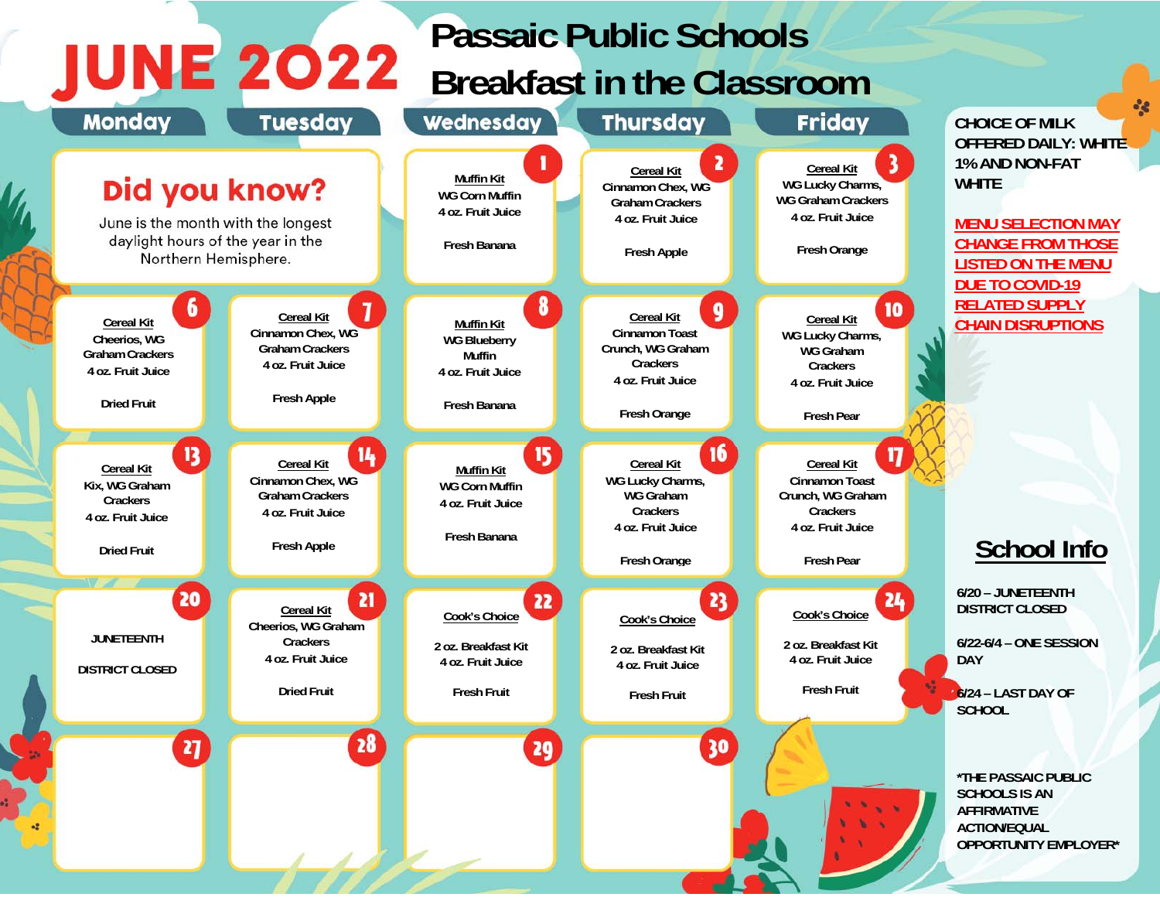## **Passaic Public Schools JUNE 2022** Passal Public Scribbis

| <b>Monday</b>                                                                                                    | <b>Tuesday</b>                                                                                                    | Wednesday                                                                                    | <b>Thursday</b>                                                                                                       | <b>Friday</b>                                                                                                                       | <b>CHOICE OF MILK</b>                                                                                                                                                         |
|------------------------------------------------------------------------------------------------------------------|-------------------------------------------------------------------------------------------------------------------|----------------------------------------------------------------------------------------------|-----------------------------------------------------------------------------------------------------------------------|-------------------------------------------------------------------------------------------------------------------------------------|-------------------------------------------------------------------------------------------------------------------------------------------------------------------------------|
| Did you know?<br>June is the month with the longest<br>daylight hours of the year in the<br>Northern Hemisphere. |                                                                                                                   | <b>Muffin Kit</b><br><b>WG Corn Muffin</b><br>4 oz. Fruit Juice<br>Fresh Banana              | <b>Cereal Kit</b><br>Cinnamon Chex, WG<br><b>Graham Crackers</b><br>4 oz. Fruit Juice<br><b>Fresh Apple</b>           | 3<br><b>Cereal Kit</b><br>WG Lucky Charms,<br><b>WG Graham Crackers</b><br>4 oz. Fruit Juice<br>Fresh Orange                        | <b>OFFERED DAILY: WHITE</b><br>1% AND NON-FAT<br><b>WHITE</b><br><b>MENU SELECTION MAY</b><br><b>CHANGE FROM THOSE</b><br><b>LISTED ON THE MENU</b><br><b>DUE TO COVID-19</b> |
| 6<br><b>Cereal Kit</b><br>Cheerios, WG<br><b>Graham Crackers</b><br>4 oz. Fruit Juice<br><b>Dried Fruit</b>      | <b>Cereal Kit</b><br>Cinnamon Chex, WG<br><b>Graham Crackers</b><br>4 oz. Fruit Juice<br>Fresh Apple              | 8<br><b>Muffin Kit</b><br><b>WG Blueberry</b><br>Muffin<br>4 oz. Fruit Juice<br>Fresh Banana | 9<br><b>Cereal Kit</b><br><b>Cinnamon Toast</b><br>Crunch, WG Graham<br>Crackers<br>4 oz. Fruit Juice<br>Fresh Orange | 10 <sub>10</sub><br><b>Cereal Kit</b><br>WG Lucky Charms,<br><b>WG Graham</b><br>Crackers<br>4 oz. Fruit Juice<br><b>Fresh Pear</b> | <b>RELATED SUPPLY</b><br><b>CHAIN DISRUPTIONS</b>                                                                                                                             |
| 13<br><b>Cereal Kit</b><br>Kix, WG Graham<br>Crackers<br>4 oz. Fruit Juice<br><b>Dried Fruit</b>                 | 14<br><b>Cereal Kit</b><br>Cinnamon Chex, WG<br><b>Graham Crackers</b><br>4 oz. Fruit Juice<br><b>Fresh Apple</b> | 15<br><b>Muffin Kit</b><br><b>WG Corn Muffin</b><br>4 oz. Fruit Juice<br>Fresh Banana        | 16<br><b>Cereal Kit</b><br>WG Lucky Charms,<br>WG Graham<br>Crackers<br>4 oz. Fruit Juice<br><b>Fresh Orange</b>      | 17<br><b>Cereal Kit</b><br>Cinnamon Toast<br>Crunch, WG Graham<br>Crackers<br>4 oz. Fruit Juice<br><b>Fresh Pear</b>                | <b>School Info</b>                                                                                                                                                            |
| V<br>20<br><b>JUNETEENTH</b><br><b>DISTRICT CLOSED</b>                                                           | 21<br><b>Cereal Kit</b><br>Cheerios, WG Graham<br>Crackers<br>4 oz. Fruit Juice<br><b>Dried Fruit</b>             | 22<br>Cook's Choice<br>2 oz. Breakfast Kit<br>4 oz. Fruit Juice<br><b>Fresh Fruit</b>        | 23<br>Cook's Choice<br>2 oz. Breakfast Kit<br>4 oz. Fruit Juice<br><b>Fresh Fruit</b>                                 | 24<br>Cook's Choice<br>2 oz. Breakfast Kit<br>4 oz. Fruit Juice<br><b>Fresh Fruit</b>                                               | 6/20 - JUNETEENTH<br><b>DISTRICT CLOSED</b><br>6/22-6/4 - ONE SESSION<br><b>DAY</b><br>6/24 - LAST DAY OF<br><b>SCHOOL</b>                                                    |
| 27                                                                                                               | 28                                                                                                                | 20                                                                                           | 30                                                                                                                    |                                                                                                                                     | *THE PASSAIC PUBLIC<br><b>SCHOOLS IS AN</b><br><b>AFFIRMATIVE</b><br><b>ACTION/EQUAL</b><br><b>OPPORTUNITY EMPLOYER*</b>                                                      |

 $-26$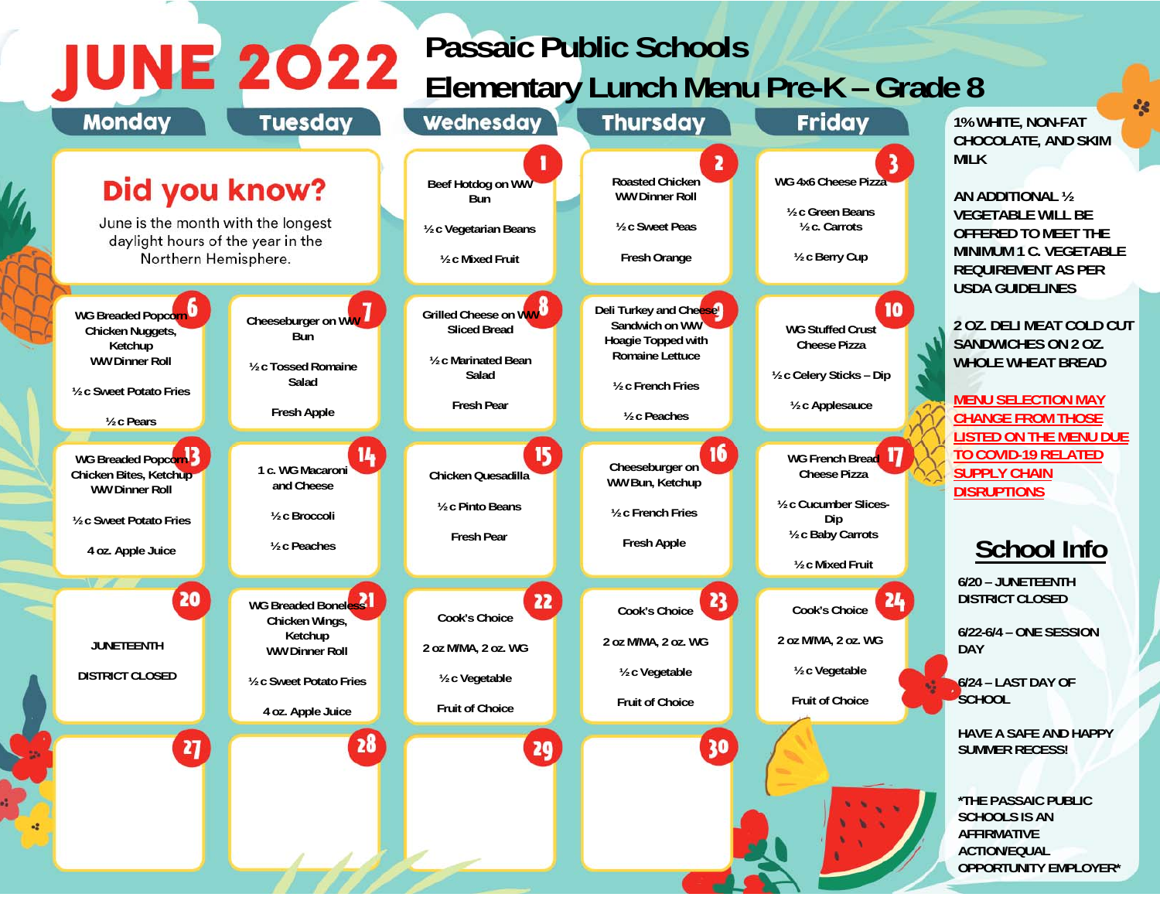## **Passaic Public Schools Elementary Lunch Menu Pre-K – Grade 8**

**de** 



**JUNE 2022**